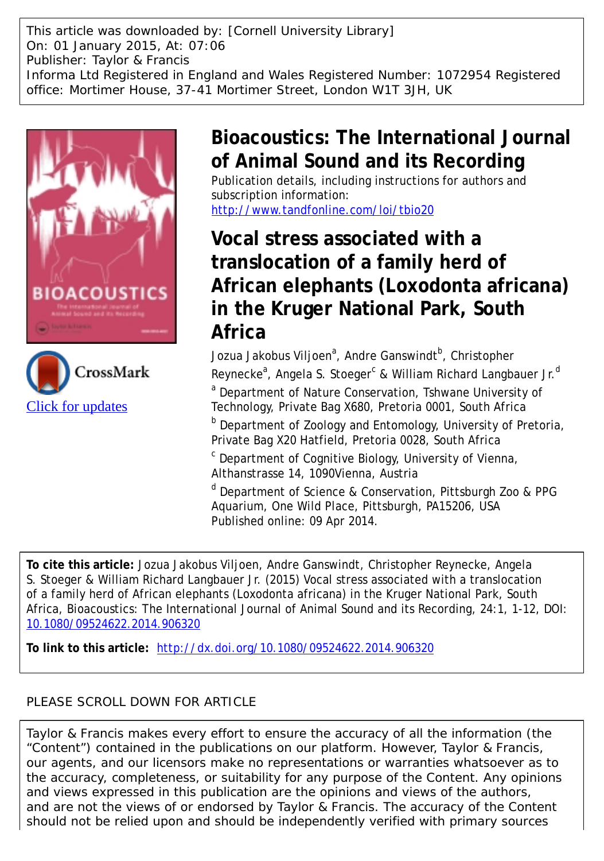This article was downloaded by: [Cornell University Library] On: 01 January 2015, At: 07:06 Publisher: Taylor & Francis Informa Ltd Registered in England and Wales Registered Number: 1072954 Registered office: Mortimer House, 37-41 Mortimer Street, London W1T 3JH, UK



[Click for updates](http://crossmark.crossref.org/dialog/?doi=10.1080/09524622.2014.906320&domain=pdf&date_stamp=2014-04-09)



# **Bioacoustics: The International Journal of Animal Sound and its Recording**

Publication details, including instructions for authors and subscription information:

<http://www.tandfonline.com/loi/tbio20>

# **Vocal stress associated with a translocation of a family herd of African elephants (Loxodonta africana) in the Kruger National Park, South Africa**

Jozua Jakobus Viljoen<sup>a</sup>, Andre Ganswindt<sup>b</sup>, Christopher Reynecke<sup>a</sup>, Angela S. Stoeger<sup>c</sup> & William Richard Langbauer Jr.<sup>d</sup> <sup>a</sup> Department of Nature Conservation, Tshwane University of Technology, Private Bag X680, Pretoria 0001, South Africa

**b** Department of Zoology and Entomology, University of Pretoria, Private Bag X20 Hatfield, Pretoria 0028, South Africa

c Department of Cognitive Biology, University of Vienna, Althanstrasse 14, 1090Vienna, Austria

d Department of Science & Conservation, Pittsburgh Zoo & PPG Aquarium, One Wild Place, Pittsburgh, PA15206, USA Published online: 09 Apr 2014.

**To cite this article:** Jozua Jakobus Viljoen, Andre Ganswindt, Christopher Reynecke, Angela S. Stoeger & William Richard Langbauer Jr. (2015) Vocal stress associated with a translocation of a family herd of African elephants (Loxodonta africana) in the Kruger National Park, South Africa, Bioacoustics: The International Journal of Animal Sound and its Recording, 24:1, 1-12, DOI: [10.1080/09524622.2014.906320](http://www.tandfonline.com/action/showCitFormats?doi=10.1080/09524622.2014.906320)

**To link to this article:** <http://dx.doi.org/10.1080/09524622.2014.906320>

# PLEASE SCROLL DOWN FOR ARTICLE

Taylor & Francis makes every effort to ensure the accuracy of all the information (the "Content") contained in the publications on our platform. However, Taylor & Francis, our agents, and our licensors make no representations or warranties whatsoever as to the accuracy, completeness, or suitability for any purpose of the Content. Any opinions and views expressed in this publication are the opinions and views of the authors, and are not the views of or endorsed by Taylor & Francis. The accuracy of the Content should not be relied upon and should be independently verified with primary sources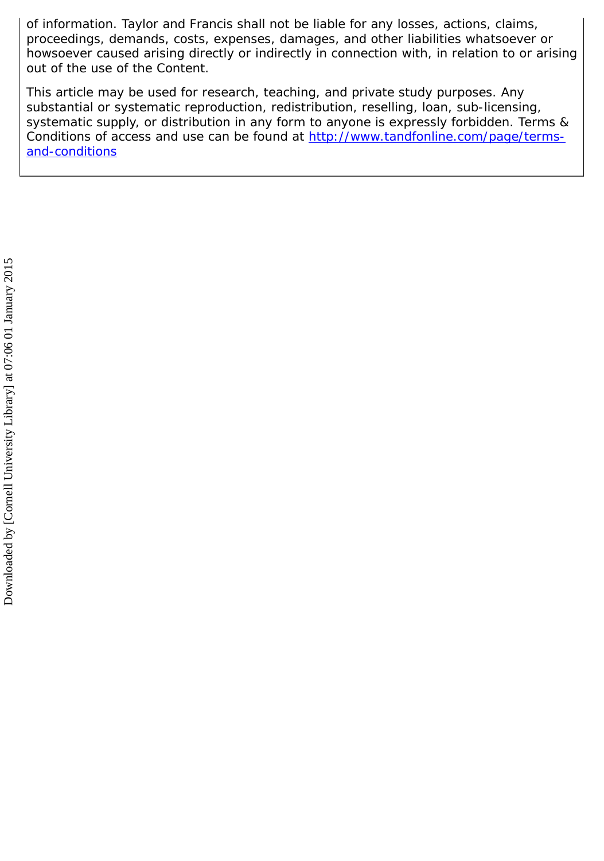of information. Taylor and Francis shall not be liable for any losses, actions, claims, proceedings, demands, costs, expenses, damages, and other liabilities whatsoever or howsoever caused arising directly or indirectly in connection with, in relation to or arising out of the use of the Content.

This article may be used for research, teaching, and private study purposes. Any substantial or systematic reproduction, redistribution, reselling, loan, sub-licensing, systematic supply, or distribution in any form to anyone is expressly forbidden. Terms & Conditions of access and use can be found at [http://www.tandfonline.com/page/terms](http://www.tandfonline.com/page/terms-and-conditions)[and-conditions](http://www.tandfonline.com/page/terms-and-conditions)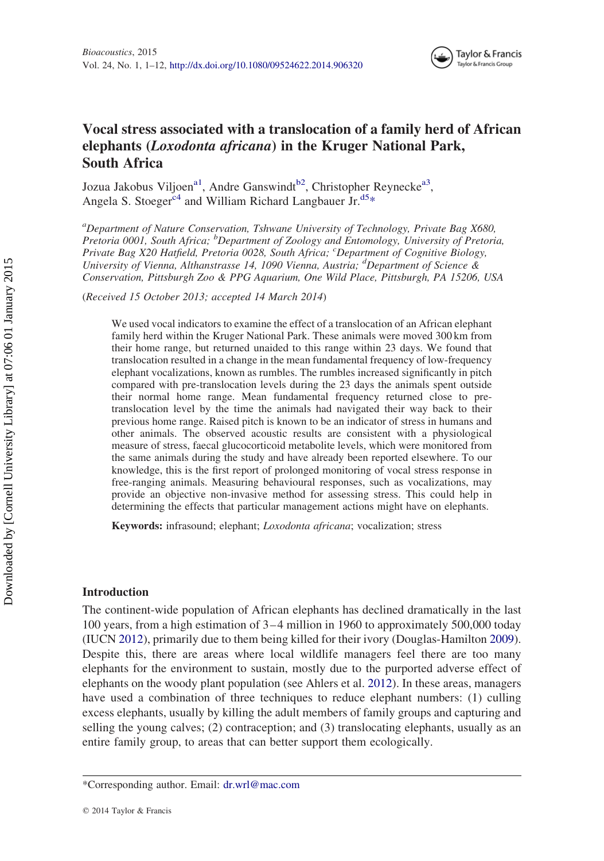

# Vocal stress associated with a translocation of a family herd of African elephants (Loxodonta africana) in the Kruger National Park, South Africa

Jozua Jakobus Viljoen<sup>a[1](#page-11-0)</sup>, Andre Ganswindt<sup>b[2](#page-11-0)</sup>, Christopher Reynecke<sup>a3</sup>, Angela S. Stoeger<sup>[c4](#page-11-0)</sup> and William Richard Langbauer  $Jr$ <sup>[d5\\*](#page-11-0)</sup>

<sup>a</sup>Department of Nature Conservation, Tshwane University of Technology, Private Bag X680, Pretoria 0001, South Africa; <sup>b</sup>Department of Zoology and Entomology, University of Pretoria, Private Bag X20 Hatfield, Pretoria 0028, South Africa; 'Department of Cognitive Biology, University of Vienna, Althanstrasse 14, 1090 Vienna, Austria; <sup>d</sup>Department of Science & Conservation, Pittsburgh Zoo & PPG Aquarium, One Wild Place, Pittsburgh, PA 15206, USA

(Received 15 October 2013; accepted 14 March 2014)

We used vocal indicators to examine the effect of a translocation of an African elephant family herd within the Kruger National Park. These animals were moved 300 km from their home range, but returned unaided to this range within 23 days. We found that translocation resulted in a change in the mean fundamental frequency of low-frequency elephant vocalizations, known as rumbles. The rumbles increased significantly in pitch compared with pre-translocation levels during the 23 days the animals spent outside their normal home range. Mean fundamental frequency returned close to pretranslocation level by the time the animals had navigated their way back to their previous home range. Raised pitch is known to be an indicator of stress in humans and other animals. The observed acoustic results are consistent with a physiological measure of stress, faecal glucocorticoid metabolite levels, which were monitored from the same animals during the study and have already been reported elsewhere. To our knowledge, this is the first report of prolonged monitoring of vocal stress response in free-ranging animals. Measuring behavioural responses, such as vocalizations, may provide an objective non-invasive method for assessing stress. This could help in determining the effects that particular management actions might have on elephants.

Keywords: infrasound; elephant; Loxodonta africana; vocalization; stress

#### Introduction

The continent-wide population of African elephants has declined dramatically in the last 100 years, from a high estimation of 3– 4 million in 1960 to approximately 500,000 today (IUCN [2012](#page-12-0)), primarily due to them being killed for their ivory (Douglas-Hamilton [2009](#page-12-0)). Despite this, there are areas where local wildlife managers feel there are too many elephants for the environment to sustain, mostly due to the purported adverse effect of elephants on the woody plant population (see Ahlers et al. [2012](#page-11-0)). In these areas, managers have used a combination of three techniques to reduce elephant numbers: (1) culling excess elephants, usually by killing the adult members of family groups and capturing and selling the young calves; (2) contraception; and (3) translocating elephants, usually as an entire family group, to areas that can better support them ecologically.

<sup>\*</sup>Corresponding author. Email: [dr.wrl@mac.com](mailto:dr.wrl@mac.com)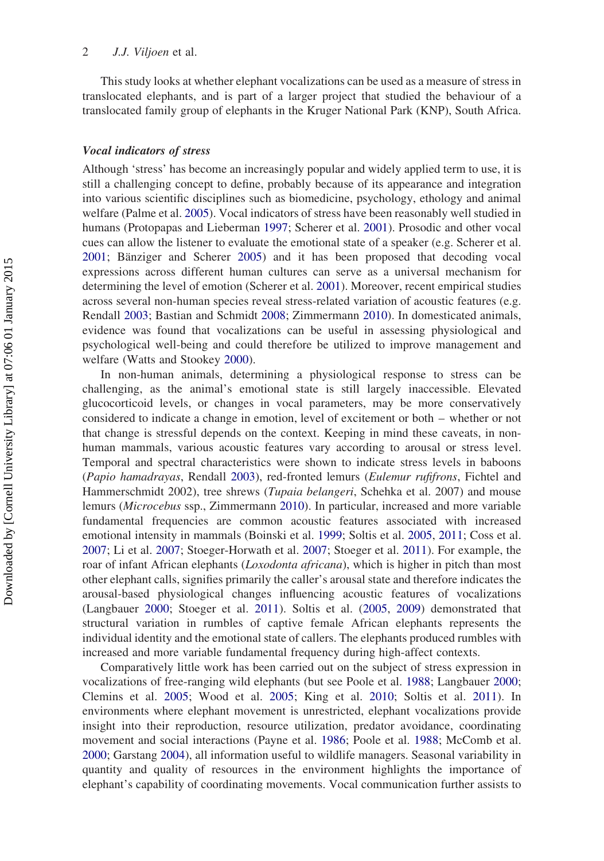This study looks at whether elephant vocalizations can be used as a measure of stress in translocated elephants, and is part of a larger project that studied the behaviour of a translocated family group of elephants in the Kruger National Park (KNP), South Africa.

#### Vocal indicators of stress

Although 'stress' has become an increasingly popular and widely applied term to use, it is still a challenging concept to define, probably because of its appearance and integration into various scientific disciplines such as biomedicine, psychology, ethology and animal welfare (Palme et al. [2005\)](#page-12-0). Vocal indicators of stress have been reasonably well studied in humans (Protopapas and Lieberman [1997](#page-12-0); Scherer et al. [2001](#page-12-0)). Prosodic and other vocal cues can allow the listener to evaluate the emotional state of a speaker (e.g. Scherer et al. [2001](#page-12-0); Bänziger and Scherer [2005](#page-11-0)) and it has been proposed that decoding vocal expressions across different human cultures can serve as a universal mechanism for determining the level of emotion (Scherer et al. [2001\)](#page-12-0). Moreover, recent empirical studies across several non-human species reveal stress-related variation of acoustic features (e.g. Rendall [2003](#page-12-0); Bastian and Schmidt [2008](#page-11-0); Zimmermann [2010\)](#page-13-0). In domesticated animals, evidence was found that vocalizations can be useful in assessing physiological and psychological well-being and could therefore be utilized to improve management and welfare (Watts and Stookey [2000](#page-13-0)).

In non-human animals, determining a physiological response to stress can be challenging, as the animal's emotional state is still largely inaccessible. Elevated glucocorticoid levels, or changes in vocal parameters, may be more conservatively considered to indicate a change in emotion, level of excitement or both – whether or not that change is stressful depends on the context. Keeping in mind these caveats, in nonhuman mammals, various acoustic features vary according to arousal or stress level. Temporal and spectral characteristics were shown to indicate stress levels in baboons (Papio hamadrayas, Rendall [2003\)](#page-12-0), red-fronted lemurs (Eulemur rufifrons, Fichtel and Hammerschmidt 2002), tree shrews (Tupaia belangeri, Schehka et al. 2007) and mouse lemurs (Microcebus ssp., Zimmermann [2010\)](#page-13-0). In particular, increased and more variable fundamental frequencies are common acoustic features associated with increased emotional intensity in mammals (Boinski et al. [1999;](#page-11-0) Soltis et al. [2005](#page-13-0), [2011](#page-13-0); Coss et al. [2007](#page-12-0); Li et al. [2007](#page-12-0); Stoeger-Horwath et al. [2007](#page-13-0); Stoeger et al. [2011](#page-13-0)). For example, the roar of infant African elephants (*Loxodonta africana*), which is higher in pitch than most other elephant calls, signifies primarily the caller's arousal state and therefore indicates the arousal-based physiological changes influencing acoustic features of vocalizations (Langbauer [2000](#page-12-0); Stoeger et al. [2011](#page-13-0)). Soltis et al. ([2005,](#page-13-0) [2009\)](#page-13-0) demonstrated that structural variation in rumbles of captive female African elephants represents the individual identity and the emotional state of callers. The elephants produced rumbles with increased and more variable fundamental frequency during high-affect contexts.

Comparatively little work has been carried out on the subject of stress expression in vocalizations of free-ranging wild elephants (but see Poole et al. [1988;](#page-12-0) Langbauer [2000](#page-12-0); Clemins et al. [2005](#page-12-0); Wood et al. [2005](#page-13-0); King et al. [2010;](#page-12-0) Soltis et al. [2011](#page-13-0)). In environments where elephant movement is unrestricted, elephant vocalizations provide insight into their reproduction, resource utilization, predator avoidance, coordinating movement and social interactions (Payne et al. [1986](#page-12-0); Poole et al. [1988](#page-12-0); McComb et al. [2000](#page-12-0); Garstang [2004](#page-12-0)), all information useful to wildlife managers. Seasonal variability in quantity and quality of resources in the environment highlights the importance of elephant's capability of coordinating movements. Vocal communication further assists to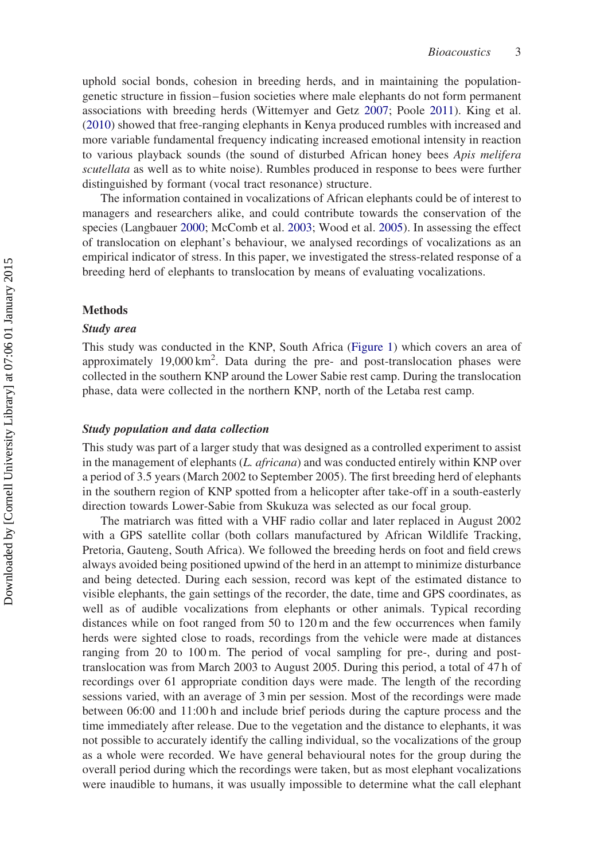uphold social bonds, cohesion in breeding herds, and in maintaining the populationgenetic structure in fission – fusion societies where male elephants do not form permanent associations with breeding herds (Wittemyer and Getz [2007;](#page-13-0) Poole [2011](#page-12-0)). King et al. ([2010\)](#page-12-0) showed that free-ranging elephants in Kenya produced rumbles with increased and more variable fundamental frequency indicating increased emotional intensity in reaction to various playback sounds (the sound of disturbed African honey bees Apis melifera scutellata as well as to white noise). Rumbles produced in response to bees were further distinguished by formant (vocal tract resonance) structure.

The information contained in vocalizations of African elephants could be of interest to managers and researchers alike, and could contribute towards the conservation of the species (Langbauer [2000](#page-12-0); McComb et al. [2003](#page-12-0); Wood et al. [2005](#page-13-0)). In assessing the effect of translocation on elephant's behaviour, we analysed recordings of vocalizations as an empirical indicator of stress. In this paper, we investigated the stress-related response of a breeding herd of elephants to translocation by means of evaluating vocalizations.

# Methods

#### Study area

This study was conducted in the KNP, South Africa [\(Figure 1](#page-5-0)) which covers an area of approximately 19,000 km<sup>2</sup>. Data during the pre- and post-translocation phases were collected in the southern KNP around the Lower Sabie rest camp. During the translocation phase, data were collected in the northern KNP, north of the Letaba rest camp.

## Study population and data collection

This study was part of a larger study that was designed as a controlled experiment to assist in the management of elephants (*L. africana*) and was conducted entirely within KNP over a period of 3.5 years (March 2002 to September 2005). The first breeding herd of elephants in the southern region of KNP spotted from a helicopter after take-off in a south-easterly direction towards Lower-Sabie from Skukuza was selected as our focal group.

The matriarch was fitted with a VHF radio collar and later replaced in August 2002 with a GPS satellite collar (both collars manufactured by African Wildlife Tracking, Pretoria, Gauteng, South Africa). We followed the breeding herds on foot and field crews always avoided being positioned upwind of the herd in an attempt to minimize disturbance and being detected. During each session, record was kept of the estimated distance to visible elephants, the gain settings of the recorder, the date, time and GPS coordinates, as well as of audible vocalizations from elephants or other animals. Typical recording distances while on foot ranged from 50 to 120 m and the few occurrences when family herds were sighted close to roads, recordings from the vehicle were made at distances ranging from 20 to 100 m. The period of vocal sampling for pre-, during and posttranslocation was from March 2003 to August 2005. During this period, a total of 47 h of recordings over 61 appropriate condition days were made. The length of the recording sessions varied, with an average of 3 min per session. Most of the recordings were made between 06:00 and 11:00 h and include brief periods during the capture process and the time immediately after release. Due to the vegetation and the distance to elephants, it was not possible to accurately identify the calling individual, so the vocalizations of the group as a whole were recorded. We have general behavioural notes for the group during the overall period during which the recordings were taken, but as most elephant vocalizations were inaudible to humans, it was usually impossible to determine what the call elephant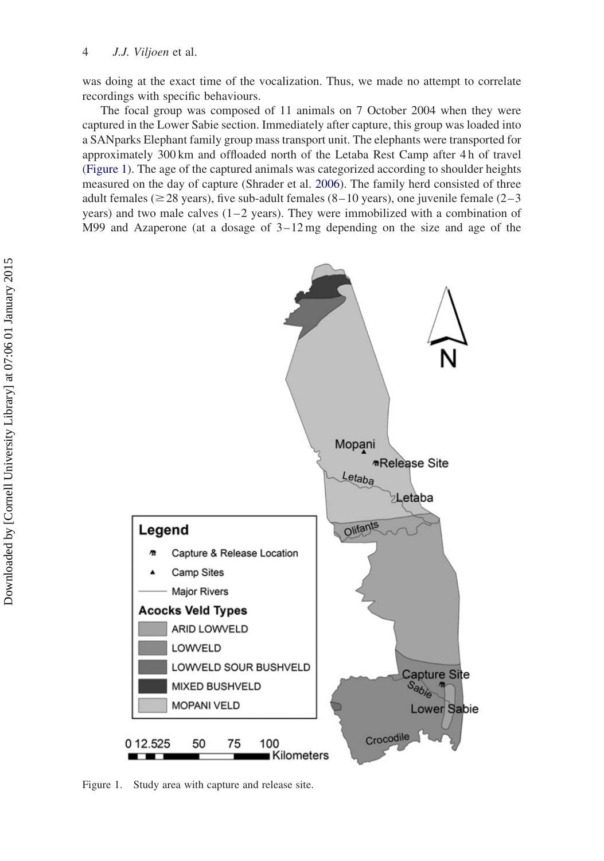<span id="page-5-0"></span>was doing at the exact time of the vocalization. Thus, we made no attempt to correlate recordings with specific behaviours.

The focal group was composed of 11 animals on 7 October 2004 when they were captured in the Lower Sabie section. Immediately after capture, this group was loaded into a SANparks Elephant family group mass transport unit. The elephants were transported for approximately 300 km and offloaded north of the Letaba Rest Camp after 4 h of travel (Figure 1). The age of the captured animals was categorized according to shoulder heights measured on the day of capture (Shrader et al. [2006\)](#page-12-0). The family herd consisted of three adult females ( $\geq$  28 years), five sub-adult females (8–10 years), one juvenile female (2–3 years) and two male calves  $(1-2 \text{ years})$ . They were immobilized with a combination of M99 and Azaperone (at a dosage of  $3-12 \text{ mg}$  depending on the size and age of the



Figure 1. Study area with capture and release site.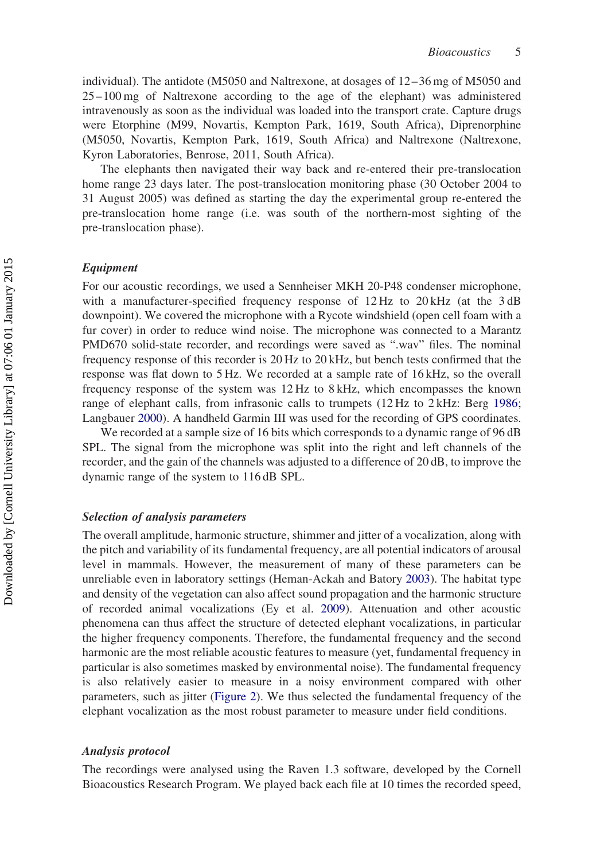individual). The antidote (M5050 and Naltrexone, at dosages of 12– 36 mg of M5050 and 25 –100 mg of Naltrexone according to the age of the elephant) was administered intravenously as soon as the individual was loaded into the transport crate. Capture drugs were Etorphine (M99, Novartis, Kempton Park, 1619, South Africa), Diprenorphine (M5050, Novartis, Kempton Park, 1619, South Africa) and Naltrexone (Naltrexone, Kyron Laboratories, Benrose, 2011, South Africa).

The elephants then navigated their way back and re-entered their pre-translocation home range 23 days later. The post-translocation monitoring phase (30 October 2004 to 31 August 2005) was defined as starting the day the experimental group re-entered the pre-translocation home range (i.e. was south of the northern-most sighting of the pre-translocation phase).

# Equipment

For our acoustic recordings, we used a Sennheiser MKH 20-P48 condenser microphone, with a manufacturer-specified frequency response of 12 Hz to 20 kHz (at the 3 dB downpoint). We covered the microphone with a Rycote windshield (open cell foam with a fur cover) in order to reduce wind noise. The microphone was connected to a Marantz PMD670 solid-state recorder, and recordings were saved as ".wav" files. The nominal frequency response of this recorder is 20 Hz to 20 kHz, but bench tests confirmed that the response was flat down to 5 Hz. We recorded at a sample rate of 16 kHz, so the overall frequency response of the system was 12 Hz to 8 kHz, which encompasses the known range of elephant calls, from infrasonic calls to trumpets (12 Hz to 2 kHz: Berg [1986](#page-11-0); Langbauer [2000\)](#page-12-0). A handheld Garmin III was used for the recording of GPS coordinates.

We recorded at a sample size of 16 bits which corresponds to a dynamic range of 96 dB SPL. The signal from the microphone was split into the right and left channels of the recorder, and the gain of the channels was adjusted to a difference of 20 dB, to improve the dynamic range of the system to 116 dB SPL.

# Selection of analysis parameters

The overall amplitude, harmonic structure, shimmer and jitter of a vocalization, along with the pitch and variability of its fundamental frequency, are all potential indicators of arousal level in mammals. However, the measurement of many of these parameters can be unreliable even in laboratory settings (Heman-Ackah and Batory [2003\)](#page-12-0). The habitat type and density of the vegetation can also affect sound propagation and the harmonic structure of recorded animal vocalizations (Ey et al. [2009](#page-12-0)). Attenuation and other acoustic phenomena can thus affect the structure of detected elephant vocalizations, in particular the higher frequency components. Therefore, the fundamental frequency and the second harmonic are the most reliable acoustic features to measure (yet, fundamental frequency in particular is also sometimes masked by environmental noise). The fundamental frequency is also relatively easier to measure in a noisy environment compared with other parameters, such as jitter [\(Figure 2](#page-7-0)). We thus selected the fundamental frequency of the elephant vocalization as the most robust parameter to measure under field conditions.

#### Analysis protocol

The recordings were analysed using the Raven 1.3 software, developed by the Cornell Bioacoustics Research Program. We played back each file at 10 times the recorded speed,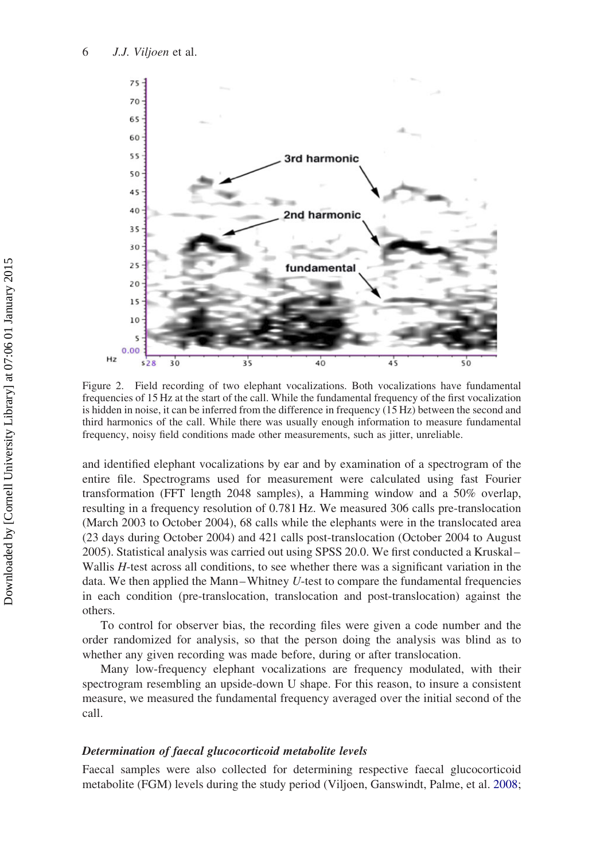<span id="page-7-0"></span>

Figure 2. Field recording of two elephant vocalizations. Both vocalizations have fundamental frequencies of 15 Hz at the start of the call. While the fundamental frequency of the first vocalization is hidden in noise, it can be inferred from the difference in frequency (15 Hz) between the second and third harmonics of the call. While there was usually enough information to measure fundamental frequency, noisy field conditions made other measurements, such as jitter, unreliable.

and identified elephant vocalizations by ear and by examination of a spectrogram of the entire file. Spectrograms used for measurement were calculated using fast Fourier transformation (FFT length 2048 samples), a Hamming window and a 50% overlap, resulting in a frequency resolution of 0.781 Hz. We measured 306 calls pre-translocation (March 2003 to October 2004), 68 calls while the elephants were in the translocated area (23 days during October 2004) and 421 calls post-translocation (October 2004 to August 2005). Statistical analysis was carried out using SPSS 20.0. We first conducted a Kruskal – Wallis  $H$ -test across all conditions, to see whether there was a significant variation in the data. We then applied the Mann-Whitney  $U$ -test to compare the fundamental frequencies in each condition (pre-translocation, translocation and post-translocation) against the others.

To control for observer bias, the recording files were given a code number and the order randomized for analysis, so that the person doing the analysis was blind as to whether any given recording was made before, during or after translocation.

Many low-frequency elephant vocalizations are frequency modulated, with their spectrogram resembling an upside-down U shape. For this reason, to insure a consistent measure, we measured the fundamental frequency averaged over the initial second of the call.

## Determination of faecal glucocorticoid metabolite levels

Faecal samples were also collected for determining respective faecal glucocorticoid metabolite (FGM) levels during the study period (Viljoen, Ganswindt, Palme, et al. [2008](#page-13-0);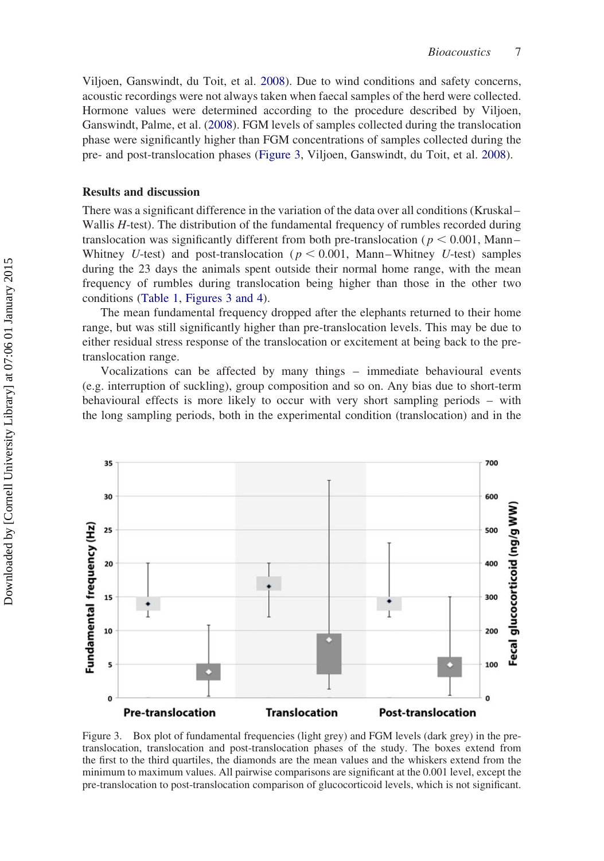Viljoen, Ganswindt, du Toit, et al. [2008\)](#page-13-0). Due to wind conditions and safety concerns, acoustic recordings were not always taken when faecal samples of the herd were collected. Hormone values were determined according to the procedure described by Viljoen, Ganswindt, Palme, et al. [\(2008](#page-13-0)). FGM levels of samples collected during the translocation phase were significantly higher than FGM concentrations of samples collected during the pre- and post-translocation phases (Figure 3, Viljoen, Ganswindt, du Toit, et al. [2008\)](#page-13-0).

# Results and discussion

There was a significant difference in the variation of the data over all conditions (Kruskal – Wallis H-test). The distribution of the fundamental frequency of rumbles recorded during translocation was significantly different from both pre-translocation ( $p < 0.001$ , Mann-Whitney U-test) and post-translocation ( $p < 0.001$ , Mann-Whitney U-test) samples during the 23 days the animals spent outside their normal home range, with the mean frequency of rumbles during translocation being higher than those in the other two conditions [\(Table 1](#page-9-0), Figures 3 and 4).

The mean fundamental frequency dropped after the elephants returned to their home range, but was still significantly higher than pre-translocation levels. This may be due to either residual stress response of the translocation or excitement at being back to the pretranslocation range.

Vocalizations can be affected by many things – immediate behavioural events (e.g. interruption of suckling), group composition and so on. Any bias due to short-term behavioural effects is more likely to occur with very short sampling periods – with the long sampling periods, both in the experimental condition (translocation) and in the



Figure 3. Box plot of fundamental frequencies (light grey) and FGM levels (dark grey) in the pretranslocation, translocation and post-translocation phases of the study. The boxes extend from the first to the third quartiles, the diamonds are the mean values and the whiskers extend from the minimum to maximum values. All pairwise comparisons are significant at the 0.001 level, except the pre-translocation to post-translocation comparison of glucocorticoid levels, which is not significant.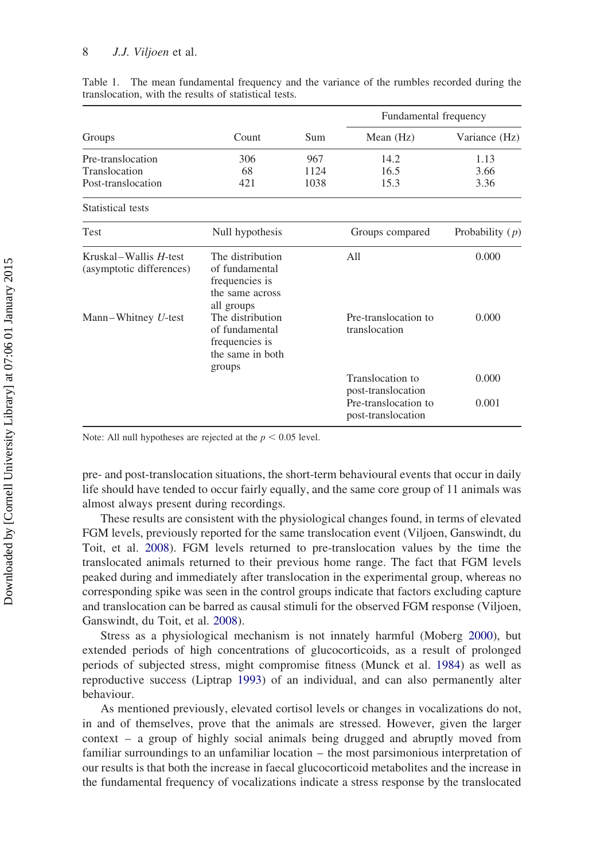#### <span id="page-9-0"></span>8 J.J. Viljoen et al.

| Groups                                            | Count                                                                                 | <b>Sum</b> | Fundamental frequency                      |                   |
|---------------------------------------------------|---------------------------------------------------------------------------------------|------------|--------------------------------------------|-------------------|
|                                                   |                                                                                       |            | Mean $(Hz)$                                | Variance (Hz)     |
| Pre-translocation                                 | 306                                                                                   | 967        | 14.2                                       | 1.13              |
| Translocation                                     | 68                                                                                    | 1124       | 16.5                                       | 3.66              |
| Post-translocation                                | 421                                                                                   | 1038       | 15.3                                       | 3.36              |
| Statistical tests                                 |                                                                                       |            |                                            |                   |
| <b>Test</b>                                       | Null hypothesis                                                                       |            | Groups compared                            | Probability $(p)$ |
| Kruskal–Wallis H-test<br>(asymptotic differences) | The distribution<br>of fundamental<br>frequencies is<br>the same across<br>all groups |            | All                                        | 0.000             |
| Mann-Whitney $U$ -test                            | The distribution<br>of fundamental<br>frequencies is<br>the same in both<br>groups    |            | Pre-translocation to<br>translocation      | 0.000             |
|                                                   |                                                                                       |            | Translocation to<br>post-translocation     | 0.000             |
|                                                   |                                                                                       |            | Pre-translocation to<br>post-translocation | 0.001             |

Table 1. The mean fundamental frequency and the variance of the rumbles recorded during the translocation, with the results of statistical tests.

Note: All null hypotheses are rejected at the  $p < 0.05$  level.

pre- and post-translocation situations, the short-term behavioural events that occur in daily life should have tended to occur fairly equally, and the same core group of 11 animals was almost always present during recordings.

These results are consistent with the physiological changes found, in terms of elevated FGM levels, previously reported for the same translocation event (Viljoen, Ganswindt, du Toit, et al. [2008](#page-13-0)). FGM levels returned to pre-translocation values by the time the translocated animals returned to their previous home range. The fact that FGM levels peaked during and immediately after translocation in the experimental group, whereas no corresponding spike was seen in the control groups indicate that factors excluding capture and translocation can be barred as causal stimuli for the observed FGM response (Viljoen, Ganswindt, du Toit, et al. [2008](#page-13-0)).

Stress as a physiological mechanism is not innately harmful (Moberg [2000\)](#page-12-0), but extended periods of high concentrations of glucocorticoids, as a result of prolonged periods of subjected stress, might compromise fitness (Munck et al. [1984](#page-12-0)) as well as reproductive success (Liptrap [1993\)](#page-12-0) of an individual, and can also permanently alter behaviour.

As mentioned previously, elevated cortisol levels or changes in vocalizations do not, in and of themselves, prove that the animals are stressed. However, given the larger context – a group of highly social animals being drugged and abruptly moved from familiar surroundings to an unfamiliar location – the most parsimonious interpretation of our results is that both the increase in faecal glucocorticoid metabolites and the increase in the fundamental frequency of vocalizations indicate a stress response by the translocated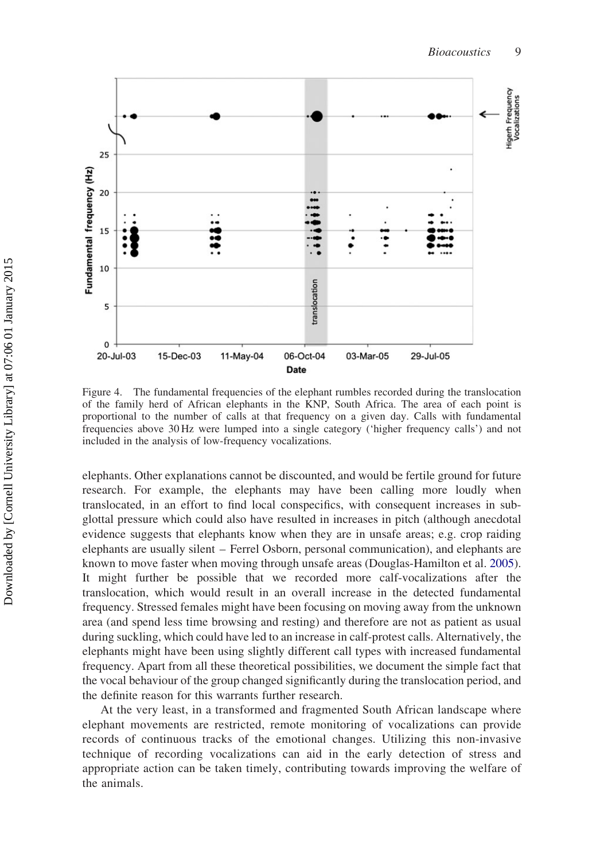

Figure 4. The fundamental frequencies of the elephant rumbles recorded during the translocation of the family herd of African elephants in the KNP, South Africa. The area of each point is proportional to the number of calls at that frequency on a given day. Calls with fundamental frequencies above 30 Hz were lumped into a single category ('higher frequency calls') and not included in the analysis of low-frequency vocalizations.

elephants. Other explanations cannot be discounted, and would be fertile ground for future research. For example, the elephants may have been calling more loudly when translocated, in an effort to find local conspecifics, with consequent increases in subglottal pressure which could also have resulted in increases in pitch (although anecdotal evidence suggests that elephants know when they are in unsafe areas; e.g. crop raiding elephants are usually silent – Ferrel Osborn, personal communication), and elephants are known to move faster when moving through unsafe areas (Douglas-Hamilton et al. [2005](#page-12-0)). It might further be possible that we recorded more calf-vocalizations after the translocation, which would result in an overall increase in the detected fundamental frequency. Stressed females might have been focusing on moving away from the unknown area (and spend less time browsing and resting) and therefore are not as patient as usual during suckling, which could have led to an increase in calf-protest calls. Alternatively, the elephants might have been using slightly different call types with increased fundamental frequency. Apart from all these theoretical possibilities, we document the simple fact that the vocal behaviour of the group changed significantly during the translocation period, and the definite reason for this warrants further research.

At the very least, in a transformed and fragmented South African landscape where elephant movements are restricted, remote monitoring of vocalizations can provide records of continuous tracks of the emotional changes. Utilizing this non-invasive technique of recording vocalizations can aid in the early detection of stress and appropriate action can be taken timely, contributing towards improving the welfare of the animals.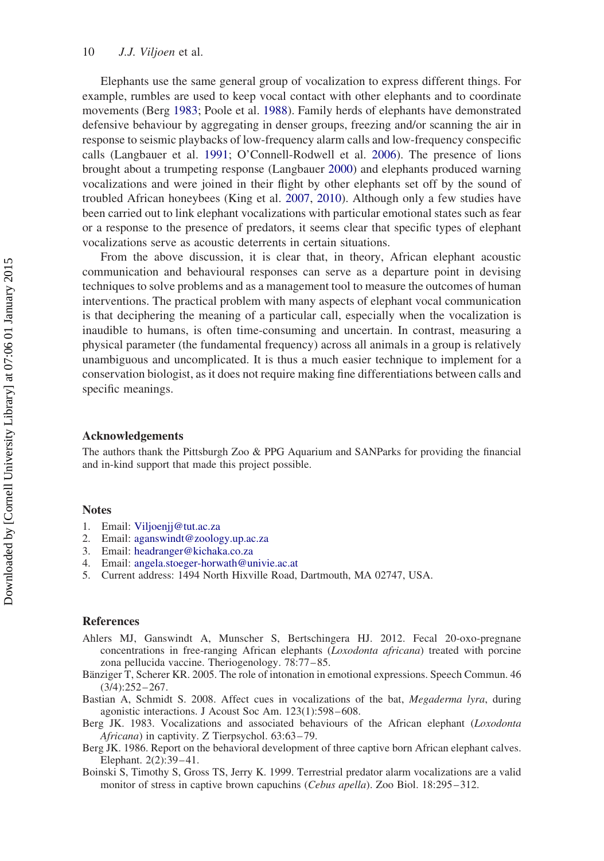<span id="page-11-0"></span>Elephants use the same general group of vocalization to express different things. For example, rumbles are used to keep vocal contact with other elephants and to coordinate movements (Berg 1983; Poole et al. [1988\)](#page-12-0). Family herds of elephants have demonstrated defensive behaviour by aggregating in denser groups, freezing and/or scanning the air in response to seismic playbacks of low-frequency alarm calls and low-frequency conspecific calls (Langbauer et al. [1991;](#page-12-0) O'Connell-Rodwell et al. [2006\)](#page-12-0). The presence of lions brought about a trumpeting response (Langbauer [2000](#page-12-0)) and elephants produced warning vocalizations and were joined in their flight by other elephants set off by the sound of troubled African honeybees (King et al. [2007](#page-12-0), [2010\)](#page-12-0). Although only a few studies have been carried out to link elephant vocalizations with particular emotional states such as fear or a response to the presence of predators, it seems clear that specific types of elephant vocalizations serve as acoustic deterrents in certain situations.

From the above discussion, it is clear that, in theory, African elephant acoustic communication and behavioural responses can serve as a departure point in devising techniques to solve problems and as a management tool to measure the outcomes of human interventions. The practical problem with many aspects of elephant vocal communication is that deciphering the meaning of a particular call, especially when the vocalization is inaudible to humans, is often time-consuming and uncertain. In contrast, measuring a physical parameter (the fundamental frequency) across all animals in a group is relatively unambiguous and uncomplicated. It is thus a much easier technique to implement for a conservation biologist, as it does not require making fine differentiations between calls and specific meanings.

## Acknowledgements

The authors thank the Pittsburgh Zoo & PPG Aquarium and SANParks for providing the financial and in-kind support that made this project possible.

#### **Notes**

- 1. Email: [Viljoenjj@tut.ac.za](mailto:Viljoenjj@tut.ac.za)
- 2. Email: [aganswindt@zoology.up.ac.za](mailto:aganswindt@zoology.up.ac.za)
- 3. Email: [headranger@kichaka.co.za](mailto:headranger@kichaka.co.za)
- 4. Email: [angela.stoeger-horwath@univie.ac.at](mailto:angela.stoeger-horwath@univie.ac.at)
- 5. Current address: 1494 North Hixville Road, Dartmouth, MA 02747, USA.

#### References

- Ahlers MJ, Ganswindt A, Munscher S, Bertschingera HJ. 2012. Fecal 20-oxo-pregnane concentrations in free-ranging African elephants (Loxodonta africana) treated with porcine zona pellucida vaccine. Theriogenology. 78:77– 85.
- Bänziger T, Scherer KR. 2005. The role of intonation in emotional expressions. Speech Commun. 46  $(3/4):252 - 267.$
- Bastian A, Schmidt S. 2008. Affect cues in vocalizations of the bat, Megaderma lyra, during agonistic interactions. J Acoust Soc Am. 123(1):598-608.
- Berg JK. 1983. Vocalizations and associated behaviours of the African elephant (Loxodonta Africana) in captivity. Z Tierpsychol. 63:63–79.
- Berg JK. 1986. Report on the behavioral development of three captive born African elephant calves. Elephant. 2(2):39 – 41.
- Boinski S, Timothy S, Gross TS, Jerry K. 1999. Terrestrial predator alarm vocalizations are a valid monitor of stress in captive brown capuchins (*Cebus apella*). Zoo Biol. 18:295–312.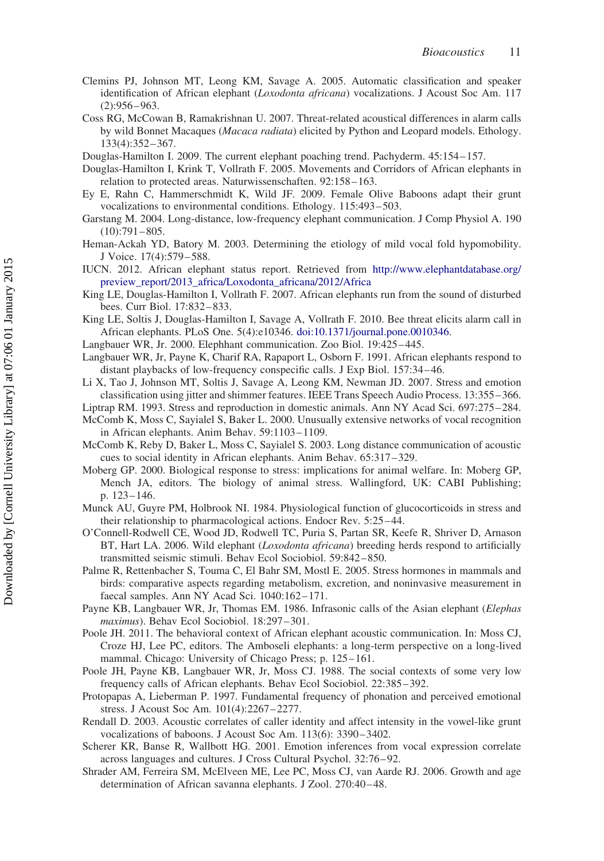- <span id="page-12-0"></span>Clemins PJ, Johnson MT, Leong KM, Savage A. 2005. Automatic classification and speaker identification of African elephant (*Loxodonta africana*) vocalizations. J Acoust Soc Am. 117  $(2): 956 - 963.$
- Coss RG, McCowan B, Ramakrishnan U. 2007. Threat-related acoustical differences in alarm calls by wild Bonnet Macaques (Macaca radiata) elicited by Python and Leopard models. Ethology. 133(4):352– 367.
- Douglas-Hamilton I. 2009. The current elephant poaching trend. Pachyderm. 45:154 157.
- Douglas-Hamilton I, Krink T, Vollrath F. 2005. Movements and Corridors of African elephants in relation to protected areas. Naturwissenschaften. 92:158– 163.
- Ey E, Rahn C, Hammerschmidt K, Wild JF. 2009. Female Olive Baboons adapt their grunt vocalizations to environmental conditions. Ethology. 115:493-503.
- Garstang M. 2004. Long-distance, low-frequency elephant communication. J Comp Physiol A. 190  $(10):791 - 805.$
- Heman-Ackah YD, Batory M. 2003. Determining the etiology of mild vocal fold hypomobility. J Voice. 17(4):579– 588.
- IUCN. 2012. African elephant status report. Retrieved from [http://www.elephantdatabase.org/](http://www.elephantdatabase.org/preview_report/2013_africa/Loxodonta_africana/2012/Africa) [preview\\_report/2013\\_africa/Loxodonta\\_africana/2012/Africa](http://www.elephantdatabase.org/preview_report/2013_africa/Loxodonta_africana/2012/Africa)
- King LE, Douglas-Hamilton I, Vollrath F. 2007. African elephants run from the sound of disturbed bees. Curr Biol. 17:832-833.
- King LE, Soltis J, Douglas-Hamilton I, Savage A, Vollrath F. 2010. Bee threat elicits alarm call in African elephants. PLoS One. 5(4):e10346. [doi:10.1371/journal.pone.0010346.](http://dx.doi.org/doi:10.1371/journal.pone.0010346)
- Langbauer WR, Jr. 2000. Elephhant communication. Zoo Biol. 19:425 –445.
- Langbauer WR, Jr, Payne K, Charif RA, Rapaport L, Osborn F. 1991. African elephants respond to distant playbacks of low-frequency conspecific calls. J Exp Biol. 157:34– 46.
- Li X, Tao J, Johnson MT, Soltis J, Savage A, Leong KM, Newman JD. 2007. Stress and emotion classification using jitter and shimmer features. IEEE Trans Speech Audio Process. 13:355 –366.
- Liptrap RM. 1993. Stress and reproduction in domestic animals. Ann NY Acad Sci. 697:275 –284.
- McComb K, Moss C, Sayialel S, Baker L. 2000. Unusually extensive networks of vocal recognition in African elephants. Anim Behav. 59:1103– 1109.
- McComb K, Reby D, Baker L, Moss C, Sayialel S. 2003. Long distance communication of acoustic cues to social identity in African elephants. Anim Behav. 65:317 – 329.
- Moberg GP. 2000. Biological response to stress: implications for animal welfare. In: Moberg GP, Mench JA, editors. The biology of animal stress. Wallingford, UK: CABI Publishing; p. 123– 146.
- Munck AU, Guyre PM, Holbrook NI. 1984. Physiological function of glucocorticoids in stress and their relationship to pharmacological actions. Endocr Rev. 5:25– 44.
- O'Connell-Rodwell CE, Wood JD, Rodwell TC, Puria S, Partan SR, Keefe R, Shriver D, Arnason BT, Hart LA. 2006. Wild elephant (*Loxodonta africana*) breeding herds respond to artificially transmitted seismic stimuli. Behav Ecol Sociobiol. 59:842– 850.
- Palme R, Rettenbacher S, Touma C, El Bahr SM, Mostl E. 2005. Stress hormones in mammals and birds: comparative aspects regarding metabolism, excretion, and noninvasive measurement in faecal samples. Ann NY Acad Sci. 1040:162-171.
- Payne KB, Langbauer WR, Jr, Thomas EM. 1986. Infrasonic calls of the Asian elephant (Elephas maximus). Behav Ecol Sociobiol. 18:297-301.
- Poole JH. 2011. The behavioral context of African elephant acoustic communication. In: Moss CJ, Croze HJ, Lee PC, editors. The Amboseli elephants: a long-term perspective on a long-lived mammal. Chicago: University of Chicago Press; p. 125-161.
- Poole JH, Payne KB, Langbauer WR, Jr, Moss CJ. 1988. The social contexts of some very low frequency calls of African elephants. Behav Ecol Sociobiol. 22:385-392.
- Protopapas A, Lieberman P. 1997. Fundamental frequency of phonation and perceived emotional stress. J Acoust Soc Am. 101(4):2267– 2277.
- Rendall D. 2003. Acoustic correlates of caller identity and affect intensity in the vowel-like grunt vocalizations of baboons. J Acoust Soc Am. 113(6): 3390 –3402.
- Scherer KR, Banse R, Wallbott HG. 2001. Emotion inferences from vocal expression correlate across languages and cultures. J Cross Cultural Psychol. 32:76– 92.
- Shrader AM, Ferreira SM, McElveen ME, Lee PC, Moss CJ, van Aarde RJ. 2006. Growth and age determination of African savanna elephants. J Zool. 270:40-48.